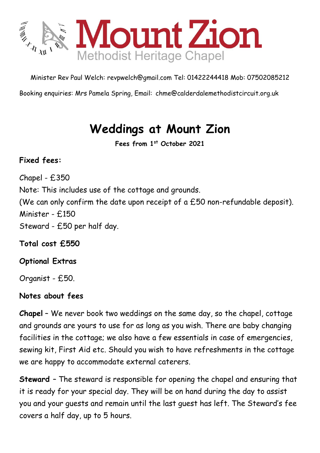

Minister Rev Paul Welch: [revpwelch@gmail.com](mailto:revpwelch@gmail.com) Tel: 01422244418 Mob: 07502085212

Booking enquiries: Mrs Pamela Spring, Email: [chme@calderdalemethodistcircuit.org.uk](mailto:chme@calderdalemethodistcircuit.org.uk)

## **Weddings at Mount Zion**

**Fees from 1 st October 2021**

## **Fixed fees:**

Chapel - £350 Note: This includes use of the cottage and grounds. (We can only confirm the date upon receipt of a £50 non-refundable deposit). Minister - £150 Steward - £50 per half day.

**Total cost £550**

## **Optional Extras**

Organist - £50.

## **Notes about fees**

**Chapel** – We never book two weddings on the same day, so the chapel, cottage and grounds are yours to use for as long as you wish. There are baby changing facilities in the cottage; we also have a few essentials in case of emergencies, sewing kit, First Aid etc. Should you wish to have refreshments in the cottage we are happy to accommodate external caterers.

**Steward** – The steward is responsible for opening the chapel and ensuring that it is ready for your special day. They will be on hand during the day to assist you and your guests and remain until the last guest has left. The Steward's fee covers a half day, up to 5 hours.